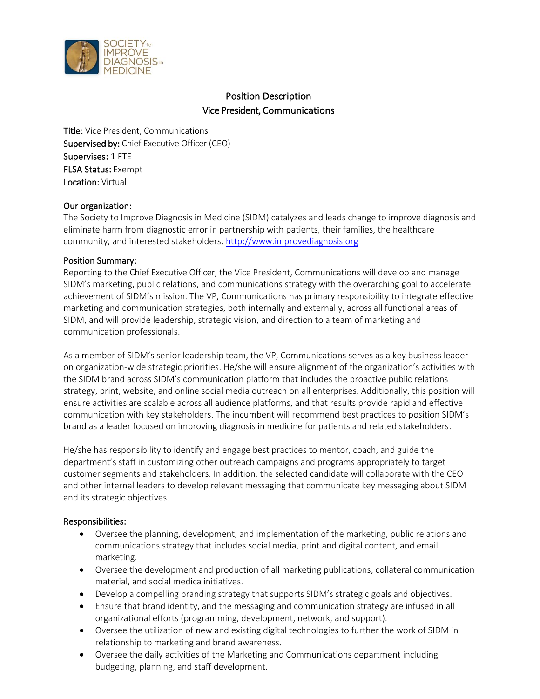

# Position Description Vice President, Communications

Title: Vice President, Communications Supervised by: Chief Executive Officer (CEO) Supervises: 1 FTE FLSA Status: Exempt Location: Virtual

## Our organization:

The Society to Improve Diagnosis in Medicine (SIDM) catalyzes and leads change to improve diagnosis and eliminate harm from diagnostic error in partnership with patients, their families, the healthcare community, and interested stakeholders. [http://www.improvediagnosis.org](http://www.improvediagnosis.org/) 

### Position Summary:

Reporting to the Chief Executive Officer, the Vice President, Communications will develop and manage SIDM's marketing, public relations, and communications strategy with the overarching goal to accelerate achievement of SIDM's mission. The VP, Communications has primary responsibility to integrate effective marketing and communication strategies, both internally and externally, across all functional areas of SIDM, and will provide leadership, strategic vision, and direction to a team of marketing and communication professionals.

As a member of SIDM's senior leadership team, the VP, Communications serves as a key business leader on organization-wide strategic priorities. He/she will ensure alignment of the organization's activities with the SIDM brand across SIDM's communication platform that includes the proactive public relations strategy, print, website, and online social media outreach on all enterprises. Additionally, this position will ensure activities are scalable across all audience platforms, and that results provide rapid and effective communication with key stakeholders. The incumbent will recommend best practices to position SIDM's brand as a leader focused on improving diagnosis in medicine for patients and related stakeholders.

He/she has responsibility to identify and engage best practices to mentor, coach, and guide the department's staff in customizing other outreach campaigns and programs appropriately to target customer segments and stakeholders. In addition, the selected candidate will collaborate with the CEO and other internal leaders to develop relevant messaging that communicate key messaging about SIDM and its strategic objectives.

### Responsibilities:

- Oversee the planning, development, and implementation of the marketing, public relations and communications strategy that includes social media, print and digital content, and email marketing.
- Oversee the development and production of all marketing publications, collateral communication material, and social medica initiatives.
- Develop a compelling branding strategy that supports SIDM's strategic goals and objectives.
- Ensure that brand identity, and the messaging and communication strategy are infused in all organizational efforts (programming, development, network, and support).
- Oversee the utilization of new and existing digital technologies to further the work of SIDM in relationship to marketing and brand awareness.
- Oversee the daily activities of the Marketing and Communications department including budgeting, planning, and staff development.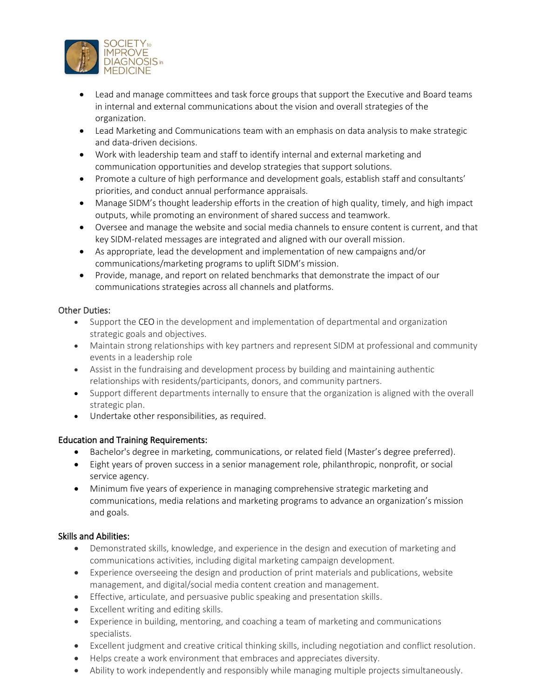

- Lead and manage committees and task force groups that support the Executive and Board teams in internal and external communications about the vision and overall strategies of the organization.
- Lead Marketing and Communications team with an emphasis on data analysis to make strategic and data-driven decisions.
- Work with leadership team and staff to identify internal and external marketing and communication opportunities and develop strategies that support solutions.
- Promote a culture of high performance and development goals, establish staff and consultants' priorities, and conduct annual performance appraisals.
- Manage SIDM's thought leadership efforts in the creation of high quality, timely, and high impact outputs, while promoting an environment of shared success and teamwork.
- Oversee and manage the website and social media channels to ensure content is current, and that key SIDM-related messages are integrated and aligned with our overall mission.
- As appropriate, lead the development and implementation of new campaigns and/or communications/marketing programs to uplift SIDM's mission.
- Provide, manage, and report on related benchmarks that demonstrate the impact of our communications strategies across all channels and platforms.

## Other Duties:

- Support the CEO in the development and implementation of departmental and organization strategic goals and objectives.
- Maintain strong relationships with key partners and represent SIDM at professional and community events in a leadership role
- Assist in the fundraising and development process by building and maintaining authentic relationships with residents/participants, donors, and community partners.
- Support different departments internally to ensure that the organization is aligned with the overall strategic plan.
- Undertake other responsibilities, as required.

# Education and Training Requirements:

- Bachelor's degree in marketing, communications, or related field (Master's degree preferred).
- Eight years of proven success in a senior management role, philanthropic, nonprofit, or social service agency.
- Minimum five years of experience in managing comprehensive strategic marketing and communications, media relations and marketing programs to advance an organization's mission and goals.

# Skills and Abilities:

- Demonstrated skills, knowledge, and experience in the design and execution of marketing and communications activities, including digital marketing campaign development.
- Experience overseeing the design and production of print materials and publications, website management, and digital/social media content creation and management.
- Effective, articulate, and persuasive public speaking and presentation skills.
- Excellent writing and editing skills.
- Experience in building, mentoring, and coaching a team of marketing and communications specialists.
- Excellent judgment and creative critical thinking skills, including negotiation and conflict resolution.
- Helps create a work environment that embraces and appreciates diversity.
- Ability to work independently and responsibly while managing multiple projects simultaneously.